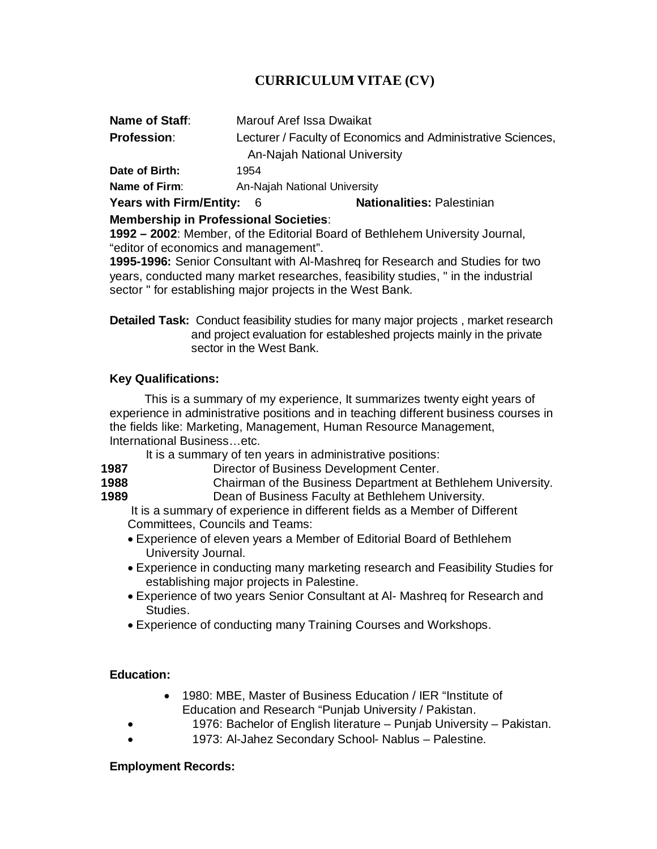# **CURRICULUM VITAE (CV)**

| Name of Staff:                                                               | Marouf Aref Issa Dwaikat                                     |
|------------------------------------------------------------------------------|--------------------------------------------------------------|
| <b>Profession:</b>                                                           | Lecturer / Faculty of Economics and Administrative Sciences, |
|                                                                              | An-Najah National University                                 |
| Date of Birth:                                                               | 1954                                                         |
| Name of Firm:                                                                | An-Najah National University                                 |
| <b>Years with Firm/Entity: 6</b>                                             | <b>Nationalities: Palestinian</b>                            |
| <b>Membership in Professional Societies:</b>                                 |                                                              |
| 1992 – 2002: Member, of the Editorial Board of Bethlehem University Journal, |                                                              |

"editor of economics and management".

**1995-1996:** Senior Consultant with Al-Mashreq for Research and Studies for two years, conducted many market researches, feasibility studies, " in the industrial sector " for establishing major projects in the West Bank.

**Detailed Task:** Conduct feasibility studies for many major projects , market research and project evaluation for estableshed projects mainly in the private sector in the West Bank.

## **Key Qualifications:**

This is a summary of my experience, It summarizes twenty eight years of experience in administrative positions and in teaching different business courses in the fields like: Marketing, Management, Human Resource Management, International Business…etc.

It is a summary of ten years in administrative positions:

- **1987** Director of Business Development Center.
- **1988** Chairman of the Business Department at Bethlehem University. **1989** Dean of Business Faculty at Bethlehem University.

It is a summary of experience in different fields as a Member of Different Committees, Councils and Teams:

- Experience of eleven years a Member of Editorial Board of Bethlehem University Journal.
- Experience in conducting many marketing research and Feasibility Studies for establishing major projects in Palestine.
- Experience of two years Senior Consultant at Al- Mashreq for Research and Studies.
- Experience of conducting many Training Courses and Workshops.

## **Education:**

- 1980: MBE, Master of Business Education / IER "Institute of Education and Research "Punjab University / Pakistan.
- 1976: Bachelor of English literature Punjab University Pakistan.
- 1973: Al-Jahez Secondary School- Nablus Palestine.

#### **Employment Records:**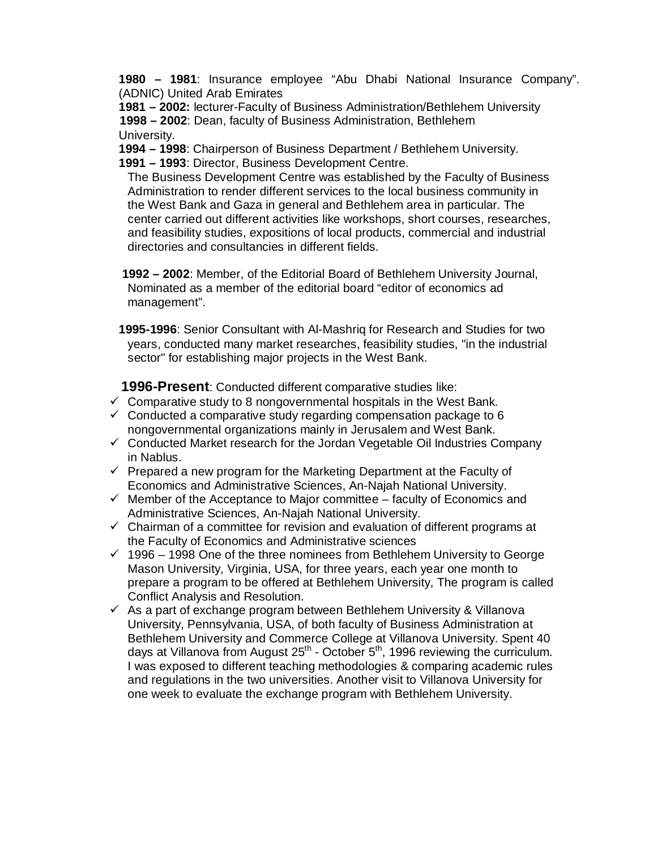**1980 – 1981**: Insurance employee "Abu Dhabi National Insurance Company". (ADNIC) United Arab Emirates

**1981 – 2002:** lecturer-Faculty of Business Administration/Bethlehem University **1998 – 2002**: Dean, faculty of Business Administration, Bethlehem University.

**1994 – 1998**: Chairperson of Business Department / Bethlehem University.

**1991 – 1993**: Director, Business Development Centre.

The Business Development Centre was established by the Faculty of Business Administration to render different services to the local business community in the West Bank and Gaza in general and Bethlehem area in particular. The center carried out different activities like workshops, short courses, researches, and feasibility studies, expositions of local products, commercial and industrial directories and consultancies in different fields.

**1992 – 2002**: Member, of the Editorial Board of Bethlehem University Journal, Nominated as a member of the editorial board "editor of economics ad management".

**1995-1996**: Senior Consultant with Al-Mashriq for Research and Studies for two years, conducted many market researches, feasibility studies, "in the industrial sector" for establishing major projects in the West Bank.

**1996-Present**: Conducted different comparative studies like:

- $\checkmark$  Comparative study to 8 nongovernmental hospitals in the West Bank.
- $\checkmark$  Conducted a comparative study regarding compensation package to 6 nongovernmental organizations mainly in Jerusalem and West Bank.
- $\checkmark$  Conducted Market research for the Jordan Vegetable Oil Industries Company in Nablus.
- $\checkmark$  Prepared a new program for the Marketing Department at the Faculty of Economics and Administrative Sciences, An-Najah National University.
- $\checkmark$  Member of the Acceptance to Major committee faculty of Economics and Administrative Sciences, An-Najah National University.
- $\checkmark$  Chairman of a committee for revision and evaluation of different programs at the Faculty of Economics and Administrative sciences
- $\checkmark$  1996 1998 One of the three nominees from Bethlehem University to George Mason University, Virginia, USA, for three years, each year one month to prepare a program to be offered at Bethlehem University, The program is called Conflict Analysis and Resolution.
- $\checkmark$  As a part of exchange program between Bethlehem University & Villanova University, Pennsylvania, USA, of both faculty of Business Administration at Bethlehem University and Commerce College at Villanova University. Spent 40 days at Villanova from August 25<sup>th</sup> - October 5<sup>th</sup>, 1996 reviewing the curriculum. I was exposed to different teaching methodologies & comparing academic rules and regulations in the two universities. Another visit to Villanova University for one week to evaluate the exchange program with Bethlehem University.